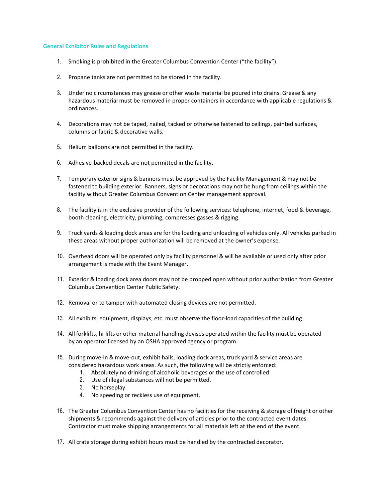## **General Exhibitor Rules and Regulations**

- 1. Smoking is prohibited in the Greater Columbus Convention Center ("the facility").
- 2. Propane tanks are not permitted to be stored in the facility.
- 3. Under no circumstances may grease or other waste material be poured into drains. Grease & any hazardous material must be removed in proper containers in accordance with applicable regulations & ordinances.
- 4. Decorations may not be taped, nailed, tacked or otherwise fastened to ceilings, painted surfaces, columns or fabric & decorative walls.
- 5. Helium balloons are not permitted in the facility.
- 6. Adhesive-backed decals are not permitted in the facility.
- 7. Temporary exterior signs & banners must be approved by the Facility Management & may not be fastened to building exterior. Banners, signs or decorations may not be hung from ceilings within the facility without Greater Columbus Convention Center management approval.
- 8. The facility is in the exclusive provider of the following services: telephone, internet, food & beverage, booth cleaning, electricity, plumbing, compresses gasses & rigging.
- 9. Truck yards & loading dock areas are for the loading and unloading of vehicles only. All vehicles parked in these areas without proper authorization will be removed at the owner's expense.
- 10. Overhead doors will be operated only by facility personnel & will be available or used only after prior arrangement is made with the Event Manager.
- 11. Exterior & loading dock area doors may not be propped open without prior authorization from Greater Columbus Convention Center Public Safety.
- 12. Removal or to tamper with automated closing devices are not permitted.
- 13. All exhibits, equipment, displays, etc. must observe the floor-load capacities of the building.
- 14. All forklifts, hi-lifts or other material-handling devises operated within the facility must be operated by an operator licensed by an OSHA approved agency or program.
- 15. During move-in & move-out, exhibit halls, loading dock areas, truck yard & service areas are considered hazardous work areas. As such, the following will be strictly enforced:
	- 1. Absolutely no drinking of alcoholic beverages or the use of controlled
	- 2. Use of illegal substances will not be permitted.
	- 3. No horseplay.
	- 4. No speeding or reckless use of equipment.
- 16. The Greater Columbus Convention Center has no facilities for the receiving & storage of freight or other shipments & recommends against the delivery of articles prior to the contracted event dates. Contractor must make shipping arrangements for all materials left at the end of the event.
- 17. All crate storage during exhibit hours must be handled by the contracted decorator.